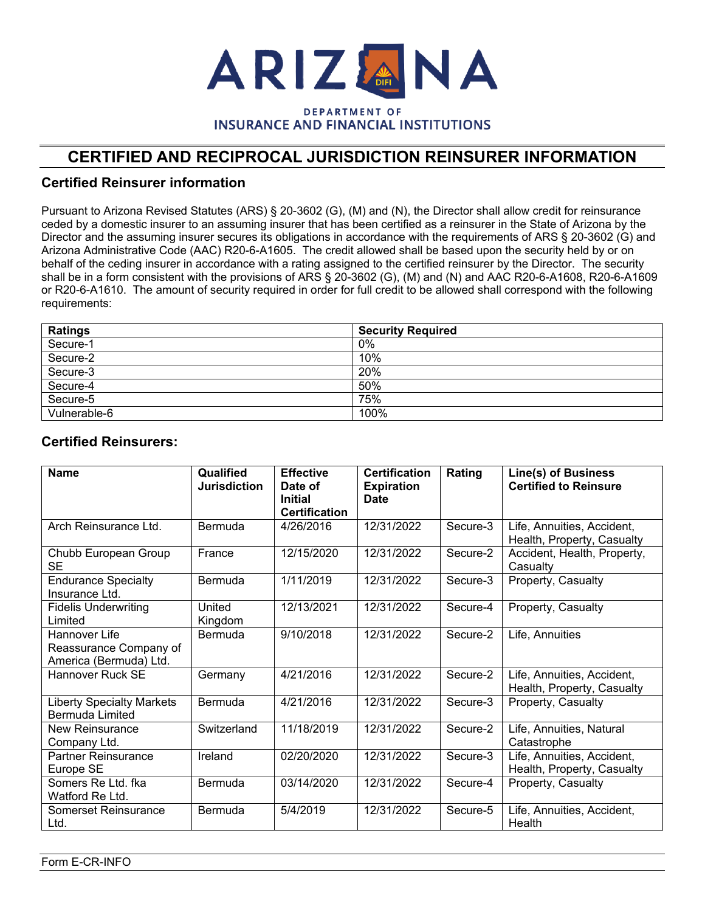

## **CERTIFIED AND RECIPROCAL JURISDICTION REINSURER INFORMATION**

#### **Certified Reinsurer information**

Pursuant to Arizona Revised Statutes (ARS) § 20-3602 (G), (M) and (N), the Director shall allow credit for reinsurance ceded by a domestic insurer to an assuming insurer that has been certified as a reinsurer in the State of Arizona by the Director and the assuming insurer secures its obligations in accordance with the requirements of ARS § 20-3602 (G) and Arizona Administrative Code (AAC) R20-6-A1605. The credit allowed shall be based upon the security held by or on behalf of the ceding insurer in accordance with a rating assigned to the certified reinsurer by the Director. The security shall be in a form consistent with the provisions of ARS § 20-3602 (G), (M) and (N) and AAC R20-6-A1608, R20-6-A1609 or R20-6-A1610. The amount of security required in order for full credit to be allowed shall correspond with the following requirements:

| <b>Ratings</b> | <b>Security Required</b> |
|----------------|--------------------------|
| Secure-1       | 0%                       |
| Secure-2       | 10%                      |
| Secure-3       | 20%                      |
| Secure-4       | 50%                      |
| Secure-5       | 75%                      |
| Vulnerable-6   | 100%                     |

## **Certified Reinsurers:**

| <b>Name</b>                                                       | Qualified<br><b>Jurisdiction</b> | <b>Effective</b><br>Date of<br><b>Initial</b><br><b>Certification</b> | <b>Certification</b><br><b>Expiration</b><br>Date | Rating   | Line(s) of Business<br><b>Certified to Reinsure</b>      |
|-------------------------------------------------------------------|----------------------------------|-----------------------------------------------------------------------|---------------------------------------------------|----------|----------------------------------------------------------|
| Arch Reinsurance Ltd.                                             | Bermuda                          | 4/26/2016                                                             | 12/31/2022                                        | Secure-3 | Life, Annuities, Accident,<br>Health, Property, Casualty |
| Chubb European Group<br><b>SE</b>                                 | France                           | 12/15/2020                                                            | 12/31/2022                                        | Secure-2 | Accident, Health, Property,<br>Casualty                  |
| <b>Endurance Specialty</b><br>Insurance Ltd.                      | Bermuda                          | 1/11/2019                                                             | 12/31/2022                                        | Secure-3 | Property, Casualty                                       |
| <b>Fidelis Underwriting</b><br>Limited                            | United<br>Kingdom                | 12/13/2021                                                            | 12/31/2022                                        | Secure-4 | Property, Casualty                                       |
| Hannover Life<br>Reassurance Company of<br>America (Bermuda) Ltd. | Bermuda                          | 9/10/2018                                                             | 12/31/2022                                        | Secure-2 | Life, Annuities                                          |
| Hannover Ruck SE                                                  | Germany                          | 4/21/2016                                                             | 12/31/2022                                        | Secure-2 | Life, Annuities, Accident,<br>Health, Property, Casualty |
| <b>Liberty Specialty Markets</b><br><b>Bermuda Limited</b>        | Bermuda                          | 4/21/2016                                                             | 12/31/2022                                        | Secure-3 | Property, Casualty                                       |
| New Reinsurance<br>Company Ltd.                                   | Switzerland                      | 11/18/2019                                                            | 12/31/2022                                        | Secure-2 | Life, Annuities, Natural<br>Catastrophe                  |
| <b>Partner Reinsurance</b><br>Europe SE                           | Ireland                          | 02/20/2020                                                            | 12/31/2022                                        | Secure-3 | Life, Annuities, Accident,<br>Health, Property, Casualty |
| Somers Re Ltd. fka<br>Watford Re Ltd.                             | Bermuda                          | 03/14/2020                                                            | 12/31/2022                                        | Secure-4 | Property, Casualty                                       |
| <b>Somerset Reinsurance</b><br>Ltd.                               | Bermuda                          | 5/4/2019                                                              | 12/31/2022                                        | Secure-5 | Life, Annuities, Accident,<br>Health                     |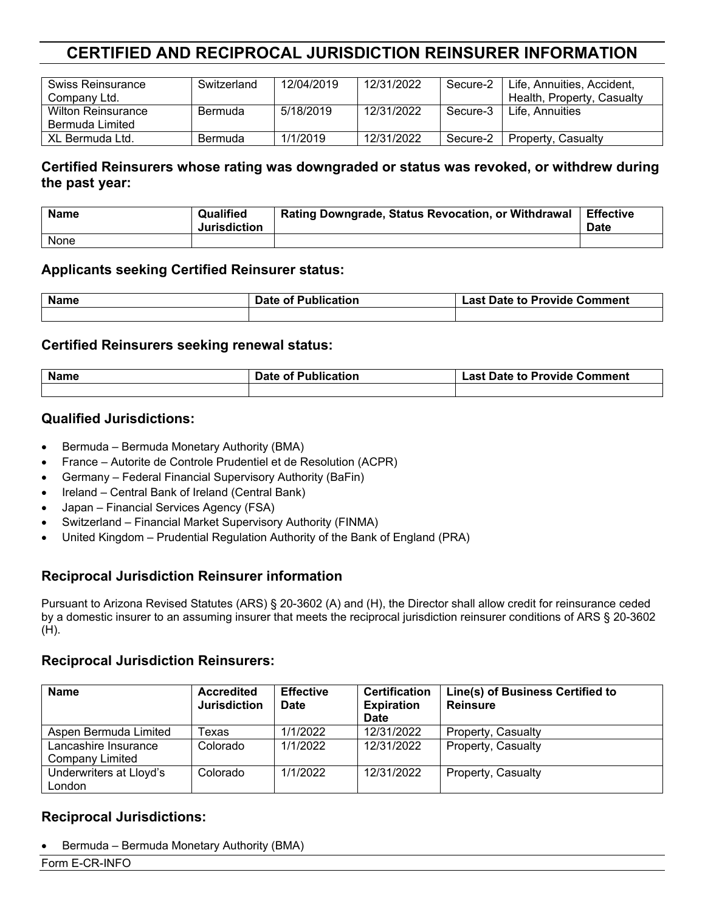# **CERTIFIED AND RECIPROCAL JURISDICTION REINSURER INFORMATION**

| Swiss Reinsurance  | Switzerland | 12/04/2019 | 12/31/2022 | Secure-2 | Life, Annuities, Accident, |
|--------------------|-------------|------------|------------|----------|----------------------------|
| Company Ltd.       |             |            |            |          | Health, Property, Casualty |
| Wilton Reinsurance | Bermuda     | 5/18/2019  | 12/31/2022 | Secure-3 | Life. Annuities            |
| Bermuda Limited    |             |            |            |          |                            |
| XL Bermuda Ltd.    | Bermuda     | 1/1/2019   | 12/31/2022 | Secure-2 | Property, Casualty         |

## **Certified Reinsurers whose rating was downgraded or status was revoked, or withdrew during the past year:**

| <b>Name</b> | Qualified<br><b>Jurisdiction</b> | Rating Downgrade, Status Revocation, or Withdrawal | Effective<br><b>Date</b> |
|-------------|----------------------------------|----------------------------------------------------|--------------------------|
| None        |                                  |                                                    |                          |

#### **Applicants seeking Certified Reinsurer status:**

| <b>Name</b> | Date of Publication | <b>Last Date to Provide Comment</b> |  |
|-------------|---------------------|-------------------------------------|--|
|             |                     |                                     |  |

#### **Certified Reinsurers seeking renewal status:**

| <b>Name</b> | Date of Publication | <b>Last Date to Provide Comment</b> |  |
|-------------|---------------------|-------------------------------------|--|
|             |                     |                                     |  |

## **Qualified Jurisdictions:**

- Bermuda Bermuda Monetary Authority (BMA)
- France Autorite de Controle Prudentiel et de Resolution (ACPR)
- Germany Federal Financial Supervisory Authority (BaFin)
- Ireland Central Bank of Ireland (Central Bank)
- Japan Financial Services Agency (FSA)
- Switzerland Financial Market Supervisory Authority (FINMA)
- United Kingdom Prudential Regulation Authority of the Bank of England (PRA)

## **Reciprocal Jurisdiction Reinsurer information**

Pursuant to Arizona Revised Statutes (ARS) § 20-3602 (A) and (H), the Director shall allow credit for reinsurance ceded by a domestic insurer to an assuming insurer that meets the reciprocal jurisdiction reinsurer conditions of ARS § 20-3602 (H).

### **Reciprocal Jurisdiction Reinsurers:**

| <b>Name</b>                                    | <b>Accredited</b><br><b>Jurisdiction</b> | <b>Effective</b><br><b>Date</b> | <b>Certification</b><br><b>Expiration</b><br><b>Date</b> | Line(s) of Business Certified to<br><b>Reinsure</b> |
|------------------------------------------------|------------------------------------------|---------------------------------|----------------------------------------------------------|-----------------------------------------------------|
| Aspen Bermuda Limited                          | Texas                                    | 1/1/2022                        | 12/31/2022                                               | Property, Casualty                                  |
| Lancashire Insurance<br><b>Company Limited</b> | Colorado                                 | 1/1/2022                        | 12/31/2022                                               | Property, Casualty                                  |
| Underwriters at Lloyd's<br>London              | Colorado                                 | 1/1/2022                        | 12/31/2022                                               | Property, Casualty                                  |

### **Reciprocal Jurisdictions:**

• Bermuda – Bermuda Monetary Authority (BMA)

Form E-CR-INFO